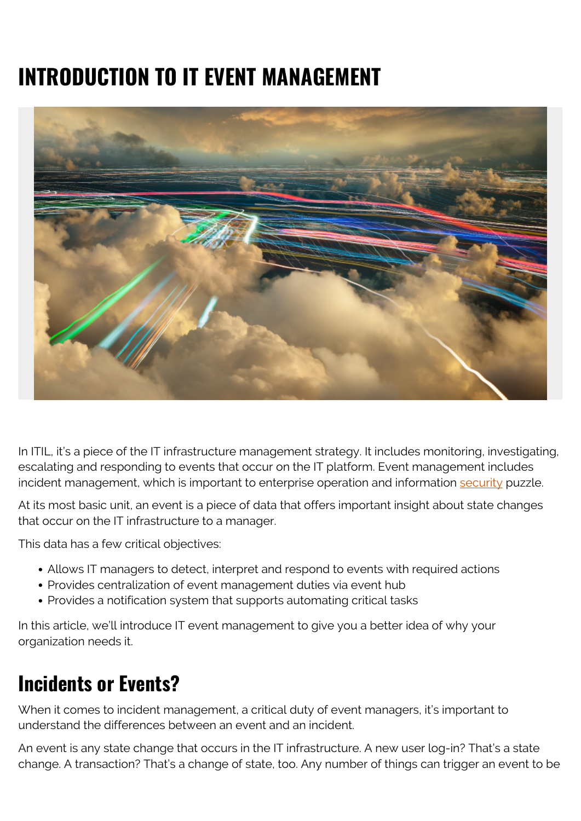# **INTRODUCTION TO IT EVENT MANAGEMENT**



In ITIL, it's a piece of the IT infrastructure management strategy. It includes monitoring, investigating, escalating and responding to events that occur on the IT platform. Event management includes incident management, which is important to enterprise operation and information [security](https://blogs.bmc.com/blogs/security-vulnerability-vs-threat-vs-risk-whats-difference/) puzzle.

At its most basic unit, an event is a piece of data that offers important insight about state changes that occur on the IT infrastructure to a manager.

This data has a few critical objectives:

- Allows IT managers to detect, interpret and respond to events with required actions
- Provides centralization of event management duties via event hub
- Provides a notification system that supports automating critical tasks

In this article, we'll introduce IT event management to give you a better idea of why your organization needs it.

### **Incidents or Events?**

When it comes to incident management, a critical duty of event managers, it's important to understand the differences between an event and an incident.

An event is any state change that occurs in the IT infrastructure. A new user log-in? That's a state change. A transaction? That's a change of state, too. Any number of things can trigger an event to be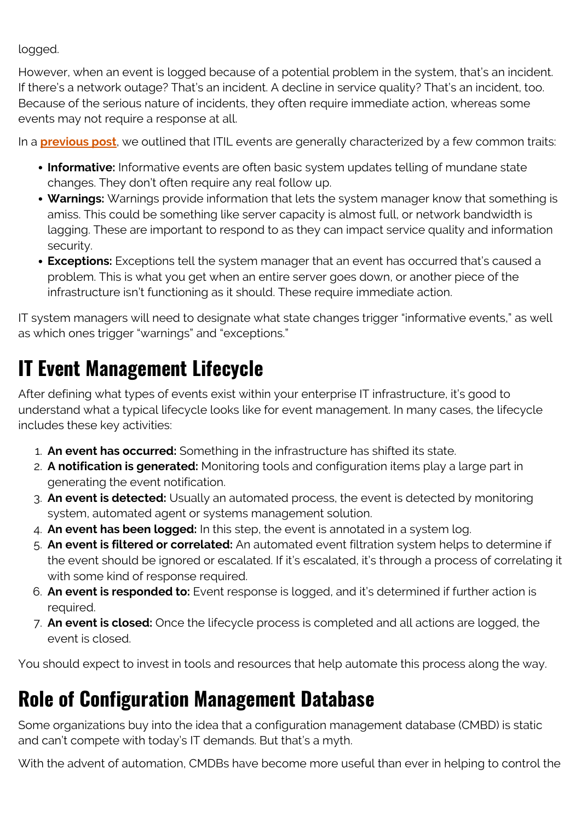logged.

However, when an event is logged because of a potential problem in the system, that's an incident. If there's a network outage? That's an incident. A decline in service quality? That's an incident, too. Because of the serious nature of incidents, they often require immediate action, whereas some events may not require a response at all.

In a **[previous post](https://blogs.bmc.com/blogs/itil-event-management/)**, we outlined that ITIL events are generally characterized by a few common traits:

- **Informative:** Informative events are often basic system updates telling of mundane state changes. They don't often require any real follow up.
- **Warnings:** Warnings provide information that lets the system manager know that something is amiss. This could be something like server capacity is almost full, or network bandwidth is lagging. These are important to respond to as they can impact service quality and information security.
- **Exceptions:** Exceptions tell the system manager that an event has occurred that's caused a problem. This is what you get when an entire server goes down, or another piece of the infrastructure isn't functioning as it should. These require immediate action.

IT system managers will need to designate what state changes trigger "informative events," as well as which ones trigger "warnings" and "exceptions."

# **IT Event Management Lifecycle**

After defining what types of events exist within your enterprise IT infrastructure, it's good to understand what a typical lifecycle looks like for event management. In many cases, the lifecycle includes these key activities:

- 1. **An event has occurred:** Something in the infrastructure has shifted its state.
- 2. **A notification is generated:** Monitoring tools and configuration items play a large part in generating the event notification.
- 3. **An event is detected:** Usually an automated process, the event is detected by monitoring system, automated agent or systems management solution.
- 4. **An event has been logged:** In this step, the event is annotated in a system log.
- 5. **An event is filtered or correlated:** An automated event filtration system helps to determine if the event should be ignored or escalated. If it's escalated, it's through a process of correlating it with some kind of response required.
- 6. **An event is responded to:** Event response is logged, and it's determined if further action is required.
- 7. **An event is closed:** Once the lifecycle process is completed and all actions are logged, the event is closed.

You should expect to invest in tools and resources that help automate this process along the way.

# **Role of Configuration Management Database**

Some organizations buy into the idea that a configuration management database (CMBD) is static and can't compete with today's IT demands. But that's a myth.

With the advent of automation, CMDBs have become more useful than ever in helping to control the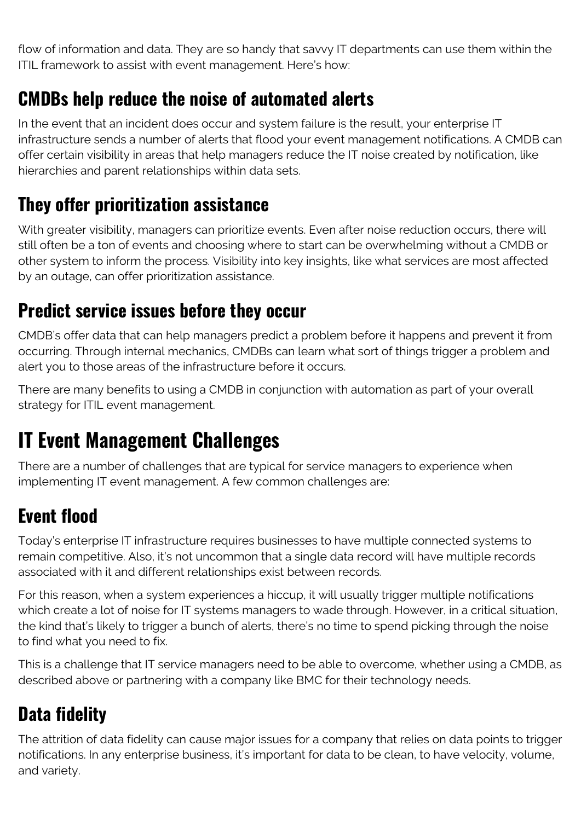flow of information and data. They are so handy that savvy IT departments can use them within the ITIL framework to assist with event management. Here's how:

#### **CMDBs help reduce the noise of automated alerts**

In the event that an incident does occur and system failure is the result, your enterprise IT infrastructure sends a number of alerts that flood your event management notifications. A CMDB can offer certain visibility in areas that help managers reduce the IT noise created by notification, like hierarchies and parent relationships within data sets.

#### **They offer prioritization assistance**

With greater visibility, managers can prioritize events. Even after noise reduction occurs, there will still often be a ton of events and choosing where to start can be overwhelming without a CMDB or other system to inform the process. Visibility into key insights, like what services are most affected by an outage, can offer prioritization assistance.

#### **Predict service issues before they occur**

CMDB's offer data that can help managers predict a problem before it happens and prevent it from occurring. Through internal mechanics, CMDBs can learn what sort of things trigger a problem and alert you to those areas of the infrastructure before it occurs.

There are many benefits to using a CMDB in conjunction with automation as part of your overall strategy for ITIL event management.

# **IT Event Management Challenges**

There are a number of challenges that are typical for service managers to experience when implementing IT event management. A few common challenges are:

### **Event flood**

Today's enterprise IT infrastructure requires businesses to have multiple connected systems to remain competitive. Also, it's not uncommon that a single data record will have multiple records associated with it and different relationships exist between records.

For this reason, when a system experiences a hiccup, it will usually trigger multiple notifications which create a lot of noise for IT systems managers to wade through. However, in a critical situation, the kind that's likely to trigger a bunch of alerts, there's no time to spend picking through the noise to find what you need to fix.

This is a challenge that IT service managers need to be able to overcome, whether using a CMDB, as described above or partnering with a company like BMC for their technology needs.

### **Data fidelity**

The attrition of data fidelity can cause major issues for a company that relies on data points to trigger notifications. In any enterprise business, it's important for data to be clean, to have velocity, volume, and variety.